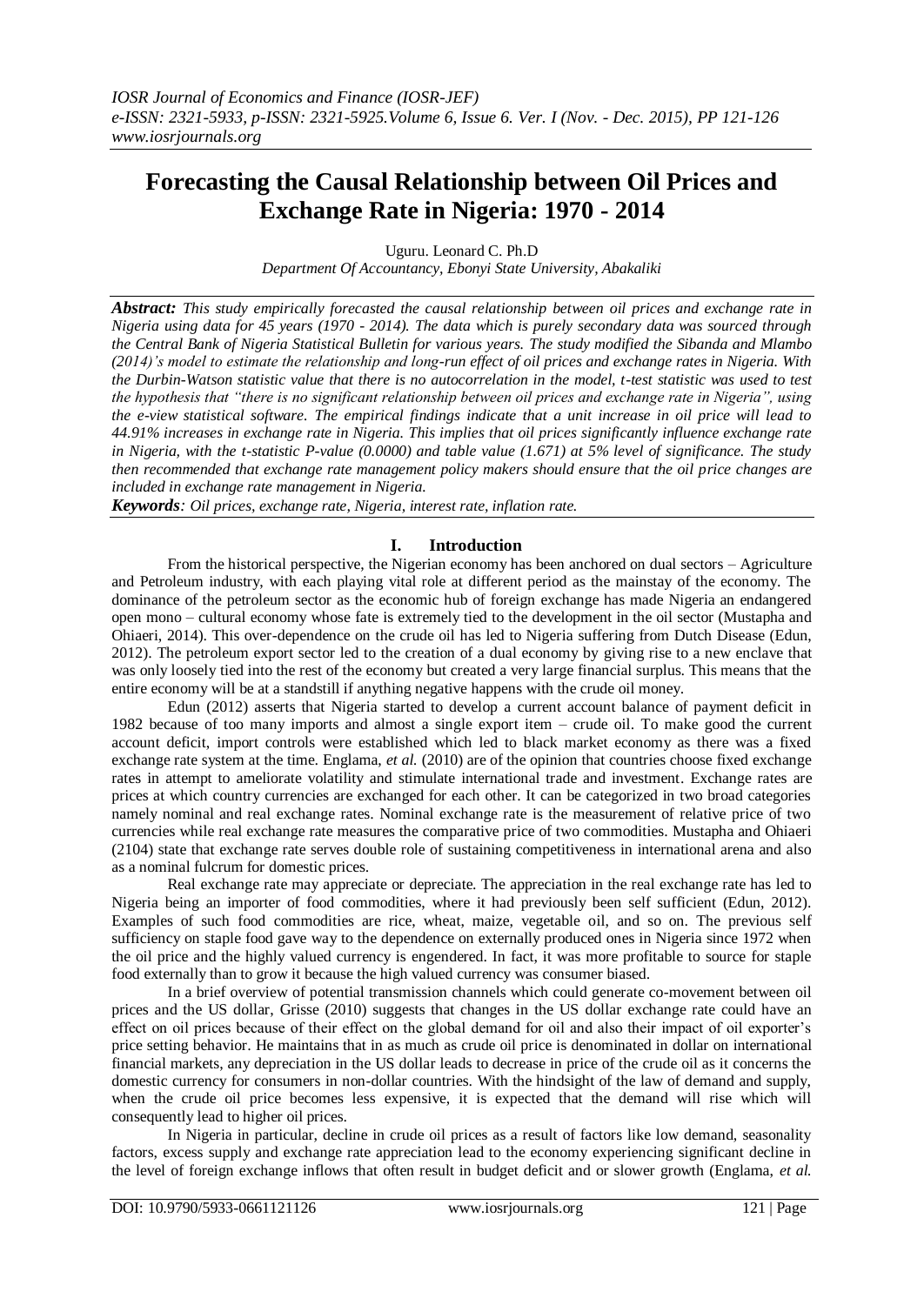# **Forecasting the Causal Relationship between Oil Prices and Exchange Rate in Nigeria: 1970 - 2014**

Uguru. Leonard C. Ph.D

*Department Of Accountancy, Ebonyi State University, Abakaliki*

*Abstract: This study empirically forecasted the causal relationship between oil prices and exchange rate in Nigeria using data for 45 years (1970 - 2014). The data which is purely secondary data was sourced through the Central Bank of Nigeria Statistical Bulletin for various years. The study modified the Sibanda and Mlambo (2014)'s model to estimate the relationship and long-run effect of oil prices and exchange rates in Nigeria. With the Durbin-Watson statistic value that there is no autocorrelation in the model, t-test statistic was used to test the hypothesis that "there is no significant relationship between oil prices and exchange rate in Nigeria", using the e-view statistical software. The empirical findings indicate that a unit increase in oil price will lead to 44.91% increases in exchange rate in Nigeria. This implies that oil prices significantly influence exchange rate in Nigeria, with the t-statistic P-value (0.0000) and table value (1.671) at 5% level of significance. The study then recommended that exchange rate management policy makers should ensure that the oil price changes are included in exchange rate management in Nigeria.* 

*Keywords: Oil prices, exchange rate, Nigeria, interest rate, inflation rate.*

# **I. Introduction**

From the historical perspective, the Nigerian economy has been anchored on dual sectors – Agriculture and Petroleum industry, with each playing vital role at different period as the mainstay of the economy. The dominance of the petroleum sector as the economic hub of foreign exchange has made Nigeria an endangered open mono – cultural economy whose fate is extremely tied to the development in the oil sector (Mustapha and Ohiaeri, 2014). This over-dependence on the crude oil has led to Nigeria suffering from Dutch Disease (Edun, 2012). The petroleum export sector led to the creation of a dual economy by giving rise to a new enclave that was only loosely tied into the rest of the economy but created a very large financial surplus. This means that the entire economy will be at a standstill if anything negative happens with the crude oil money.

Edun (2012) asserts that Nigeria started to develop a current account balance of payment deficit in 1982 because of too many imports and almost a single export item – crude oil. To make good the current account deficit, import controls were established which led to black market economy as there was a fixed exchange rate system at the time. Englama, *et al.* (2010) are of the opinion that countries choose fixed exchange rates in attempt to ameliorate volatility and stimulate international trade and investment. Exchange rates are prices at which country currencies are exchanged for each other. It can be categorized in two broad categories namely nominal and real exchange rates. Nominal exchange rate is the measurement of relative price of two currencies while real exchange rate measures the comparative price of two commodities. Mustapha and Ohiaeri (2104) state that exchange rate serves double role of sustaining competitiveness in international arena and also as a nominal fulcrum for domestic prices.

Real exchange rate may appreciate or depreciate. The appreciation in the real exchange rate has led to Nigeria being an importer of food commodities, where it had previously been self sufficient (Edun, 2012). Examples of such food commodities are rice, wheat, maize, vegetable oil, and so on. The previous self sufficiency on staple food gave way to the dependence on externally produced ones in Nigeria since 1972 when the oil price and the highly valued currency is engendered. In fact, it was more profitable to source for staple food externally than to grow it because the high valued currency was consumer biased.

In a brief overview of potential transmission channels which could generate co-movement between oil prices and the US dollar, Grisse (2010) suggests that changes in the US dollar exchange rate could have an effect on oil prices because of their effect on the global demand for oil and also their impact of oil exporter's price setting behavior. He maintains that in as much as crude oil price is denominated in dollar on international financial markets, any depreciation in the US dollar leads to decrease in price of the crude oil as it concerns the domestic currency for consumers in non-dollar countries. With the hindsight of the law of demand and supply, when the crude oil price becomes less expensive, it is expected that the demand will rise which will consequently lead to higher oil prices.

In Nigeria in particular, decline in crude oil prices as a result of factors like low demand, seasonality factors, excess supply and exchange rate appreciation lead to the economy experiencing significant decline in the level of foreign exchange inflows that often result in budget deficit and or slower growth (Englama, *et al.*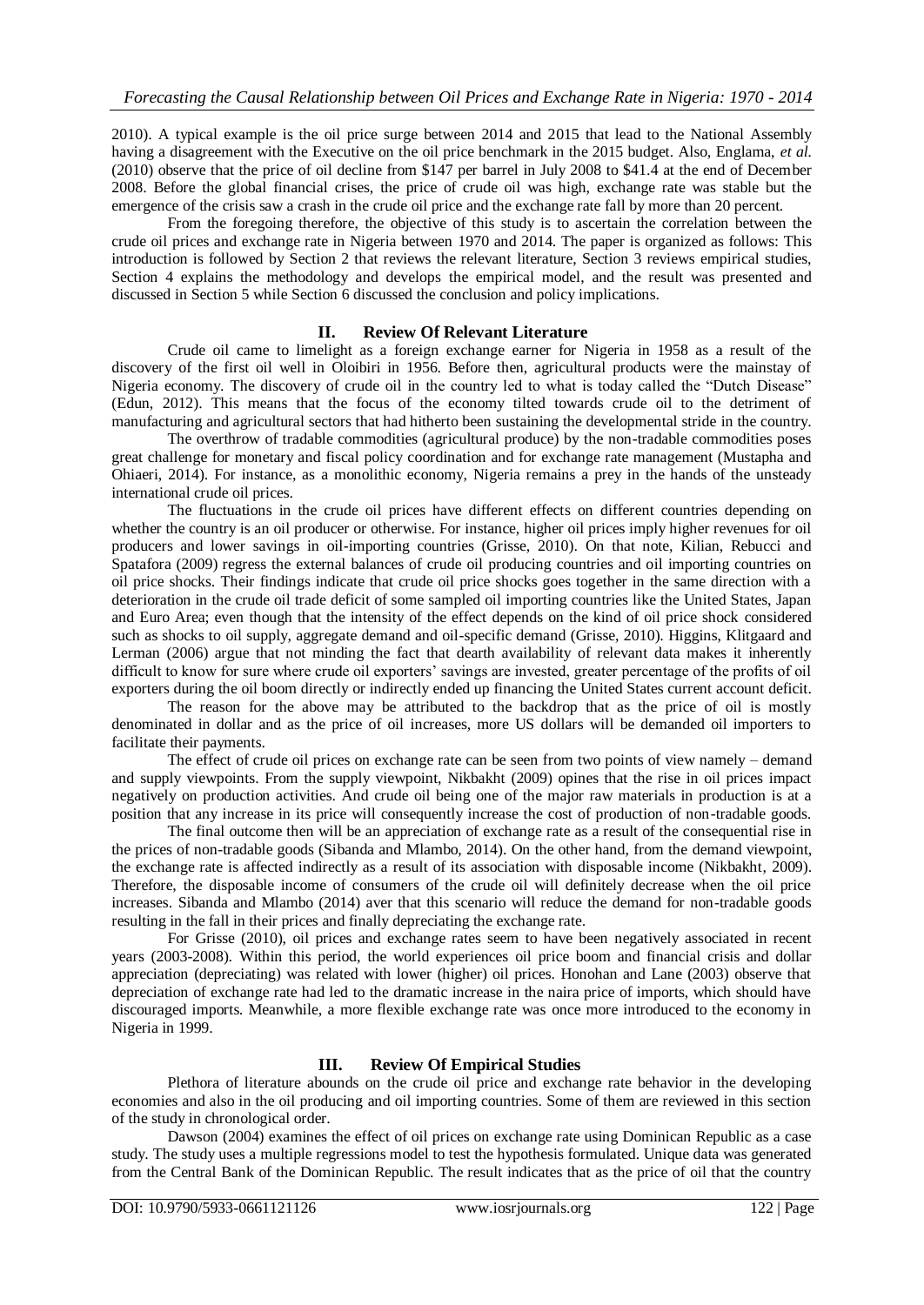2010). A typical example is the oil price surge between 2014 and 2015 that lead to the National Assembly having a disagreement with the Executive on the oil price benchmark in the 2015 budget. Also, Englama, *et al.*  (2010) observe that the price of oil decline from \$147 per barrel in July 2008 to \$41.4 at the end of December 2008. Before the global financial crises, the price of crude oil was high, exchange rate was stable but the emergence of the crisis saw a crash in the crude oil price and the exchange rate fall by more than 20 percent.

From the foregoing therefore, the objective of this study is to ascertain the correlation between the crude oil prices and exchange rate in Nigeria between 1970 and 2014. The paper is organized as follows: This introduction is followed by Section 2 that reviews the relevant literature, Section 3 reviews empirical studies, Section 4 explains the methodology and develops the empirical model, and the result was presented and discussed in Section 5 while Section 6 discussed the conclusion and policy implications.

## **II. Review Of Relevant Literature**

Crude oil came to limelight as a foreign exchange earner for Nigeria in 1958 as a result of the discovery of the first oil well in Oloibiri in 1956. Before then, agricultural products were the mainstay of Nigeria economy. The discovery of crude oil in the country led to what is today called the "Dutch Disease" (Edun, 2012). This means that the focus of the economy tilted towards crude oil to the detriment of manufacturing and agricultural sectors that had hitherto been sustaining the developmental stride in the country.

The overthrow of tradable commodities (agricultural produce) by the non-tradable commodities poses great challenge for monetary and fiscal policy coordination and for exchange rate management (Mustapha and Ohiaeri, 2014). For instance, as a monolithic economy, Nigeria remains a prey in the hands of the unsteady international crude oil prices.

The fluctuations in the crude oil prices have different effects on different countries depending on whether the country is an oil producer or otherwise. For instance, higher oil prices imply higher revenues for oil producers and lower savings in oil-importing countries (Grisse, 2010). On that note, Kilian, Rebucci and Spatafora (2009) regress the external balances of crude oil producing countries and oil importing countries on oil price shocks. Their findings indicate that crude oil price shocks goes together in the same direction with a deterioration in the crude oil trade deficit of some sampled oil importing countries like the United States, Japan and Euro Area; even though that the intensity of the effect depends on the kind of oil price shock considered such as shocks to oil supply, aggregate demand and oil-specific demand (Grisse, 2010). Higgins, Klitgaard and Lerman (2006) argue that not minding the fact that dearth availability of relevant data makes it inherently difficult to know for sure where crude oil exporters' savings are invested, greater percentage of the profits of oil exporters during the oil boom directly or indirectly ended up financing the United States current account deficit.

The reason for the above may be attributed to the backdrop that as the price of oil is mostly denominated in dollar and as the price of oil increases, more US dollars will be demanded oil importers to facilitate their payments.

The effect of crude oil prices on exchange rate can be seen from two points of view namely – demand and supply viewpoints. From the supply viewpoint, Nikbakht (2009) opines that the rise in oil prices impact negatively on production activities. And crude oil being one of the major raw materials in production is at a position that any increase in its price will consequently increase the cost of production of non-tradable goods.

The final outcome then will be an appreciation of exchange rate as a result of the consequential rise in the prices of non-tradable goods (Sibanda and Mlambo, 2014). On the other hand, from the demand viewpoint, the exchange rate is affected indirectly as a result of its association with disposable income (Nikbakht, 2009). Therefore, the disposable income of consumers of the crude oil will definitely decrease when the oil price increases. Sibanda and Mlambo (2014) aver that this scenario will reduce the demand for non-tradable goods resulting in the fall in their prices and finally depreciating the exchange rate.

For Grisse (2010), oil prices and exchange rates seem to have been negatively associated in recent years (2003-2008). Within this period, the world experiences oil price boom and financial crisis and dollar appreciation (depreciating) was related with lower (higher) oil prices. Honohan and Lane (2003) observe that depreciation of exchange rate had led to the dramatic increase in the naira price of imports, which should have discouraged imports. Meanwhile, a more flexible exchange rate was once more introduced to the economy in Nigeria in 1999.

# **III. Review Of Empirical Studies**

Plethora of literature abounds on the crude oil price and exchange rate behavior in the developing economies and also in the oil producing and oil importing countries. Some of them are reviewed in this section of the study in chronological order.

Dawson (2004) examines the effect of oil prices on exchange rate using Dominican Republic as a case study. The study uses a multiple regressions model to test the hypothesis formulated. Unique data was generated from the Central Bank of the Dominican Republic. The result indicates that as the price of oil that the country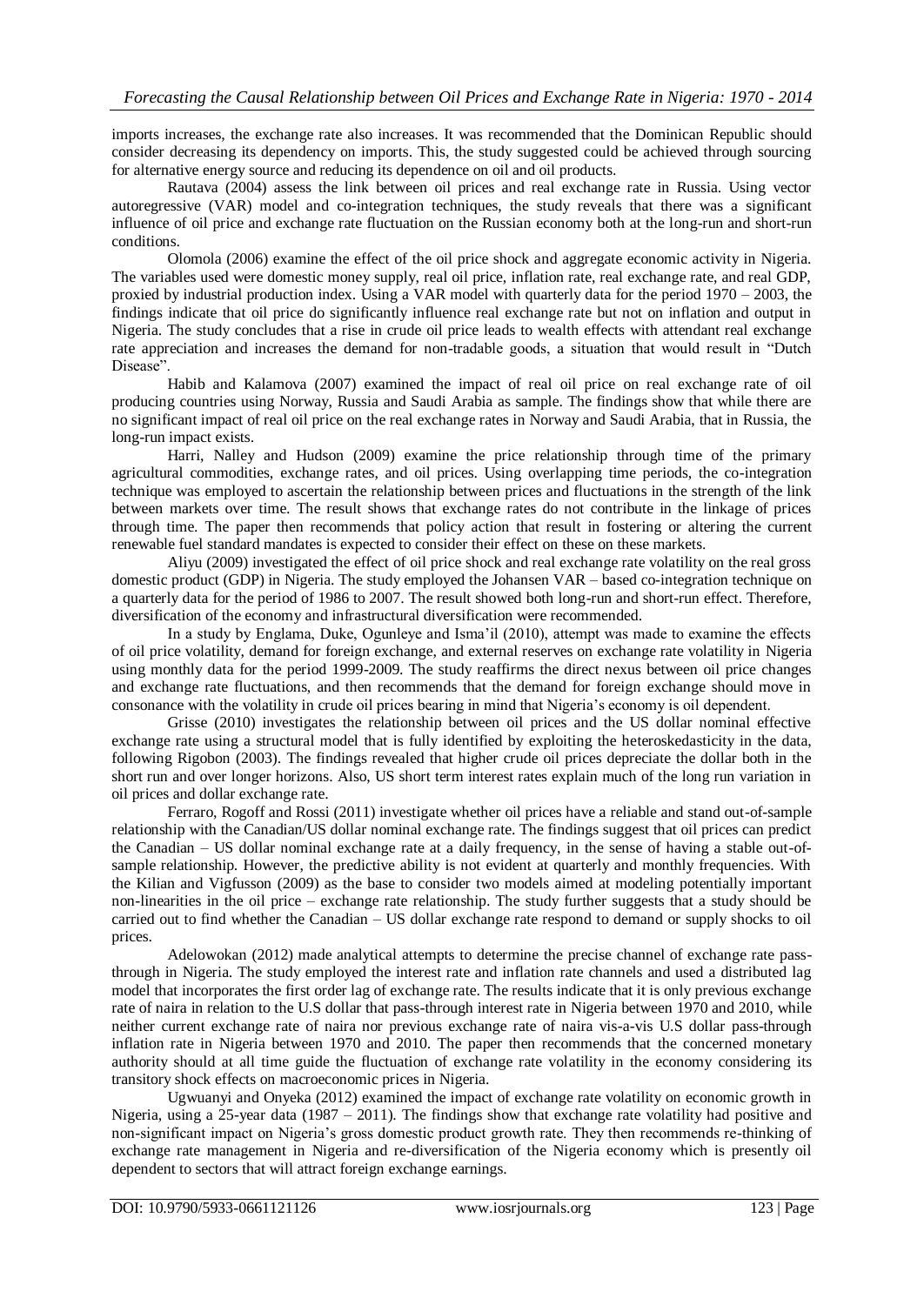imports increases, the exchange rate also increases. It was recommended that the Dominican Republic should consider decreasing its dependency on imports. This, the study suggested could be achieved through sourcing for alternative energy source and reducing its dependence on oil and oil products.

Rautava (2004) assess the link between oil prices and real exchange rate in Russia. Using vector autoregressive (VAR) model and co-integration techniques, the study reveals that there was a significant influence of oil price and exchange rate fluctuation on the Russian economy both at the long-run and short-run conditions.

Olomola (2006) examine the effect of the oil price shock and aggregate economic activity in Nigeria. The variables used were domestic money supply, real oil price, inflation rate, real exchange rate, and real GDP, proxied by industrial production index. Using a VAR model with quarterly data for the period 1970 – 2003, the findings indicate that oil price do significantly influence real exchange rate but not on inflation and output in Nigeria. The study concludes that a rise in crude oil price leads to wealth effects with attendant real exchange rate appreciation and increases the demand for non-tradable goods, a situation that would result in "Dutch Disease".

Habib and Kalamova (2007) examined the impact of real oil price on real exchange rate of oil producing countries using Norway, Russia and Saudi Arabia as sample. The findings show that while there are no significant impact of real oil price on the real exchange rates in Norway and Saudi Arabia, that in Russia, the long-run impact exists.

Harri, Nalley and Hudson (2009) examine the price relationship through time of the primary agricultural commodities, exchange rates, and oil prices. Using overlapping time periods, the co-integration technique was employed to ascertain the relationship between prices and fluctuations in the strength of the link between markets over time. The result shows that exchange rates do not contribute in the linkage of prices through time. The paper then recommends that policy action that result in fostering or altering the current renewable fuel standard mandates is expected to consider their effect on these on these markets.

Aliyu (2009) investigated the effect of oil price shock and real exchange rate volatility on the real gross domestic product (GDP) in Nigeria. The study employed the Johansen VAR – based co-integration technique on a quarterly data for the period of 1986 to 2007. The result showed both long-run and short-run effect. Therefore, diversification of the economy and infrastructural diversification were recommended.

In a study by Englama, Duke, Ogunleye and Isma'il (2010), attempt was made to examine the effects of oil price volatility, demand for foreign exchange, and external reserves on exchange rate volatility in Nigeria using monthly data for the period 1999-2009. The study reaffirms the direct nexus between oil price changes and exchange rate fluctuations, and then recommends that the demand for foreign exchange should move in consonance with the volatility in crude oil prices bearing in mind that Nigeria's economy is oil dependent.

Grisse (2010) investigates the relationship between oil prices and the US dollar nominal effective exchange rate using a structural model that is fully identified by exploiting the heteroskedasticity in the data, following Rigobon (2003). The findings revealed that higher crude oil prices depreciate the dollar both in the short run and over longer horizons. Also, US short term interest rates explain much of the long run variation in oil prices and dollar exchange rate.

Ferraro, Rogoff and Rossi (2011) investigate whether oil prices have a reliable and stand out-of-sample relationship with the Canadian/US dollar nominal exchange rate. The findings suggest that oil prices can predict the Canadian – US dollar nominal exchange rate at a daily frequency, in the sense of having a stable out-ofsample relationship. However, the predictive ability is not evident at quarterly and monthly frequencies. With the Kilian and Vigfusson (2009) as the base to consider two models aimed at modeling potentially important non-linearities in the oil price – exchange rate relationship. The study further suggests that a study should be carried out to find whether the Canadian – US dollar exchange rate respond to demand or supply shocks to oil prices.

Adelowokan (2012) made analytical attempts to determine the precise channel of exchange rate passthrough in Nigeria. The study employed the interest rate and inflation rate channels and used a distributed lag model that incorporates the first order lag of exchange rate. The results indicate that it is only previous exchange rate of naira in relation to the U.S dollar that pass-through interest rate in Nigeria between 1970 and 2010, while neither current exchange rate of naira nor previous exchange rate of naira vis-a-vis U.S dollar pass-through inflation rate in Nigeria between 1970 and 2010. The paper then recommends that the concerned monetary authority should at all time guide the fluctuation of exchange rate volatility in the economy considering its transitory shock effects on macroeconomic prices in Nigeria.

Ugwuanyi and Onyeka (2012) examined the impact of exchange rate volatility on economic growth in Nigeria, using a 25-year data (1987 – 2011). The findings show that exchange rate volatility had positive and non-significant impact on Nigeria's gross domestic product growth rate. They then recommends re-thinking of exchange rate management in Nigeria and re-diversification of the Nigeria economy which is presently oil dependent to sectors that will attract foreign exchange earnings.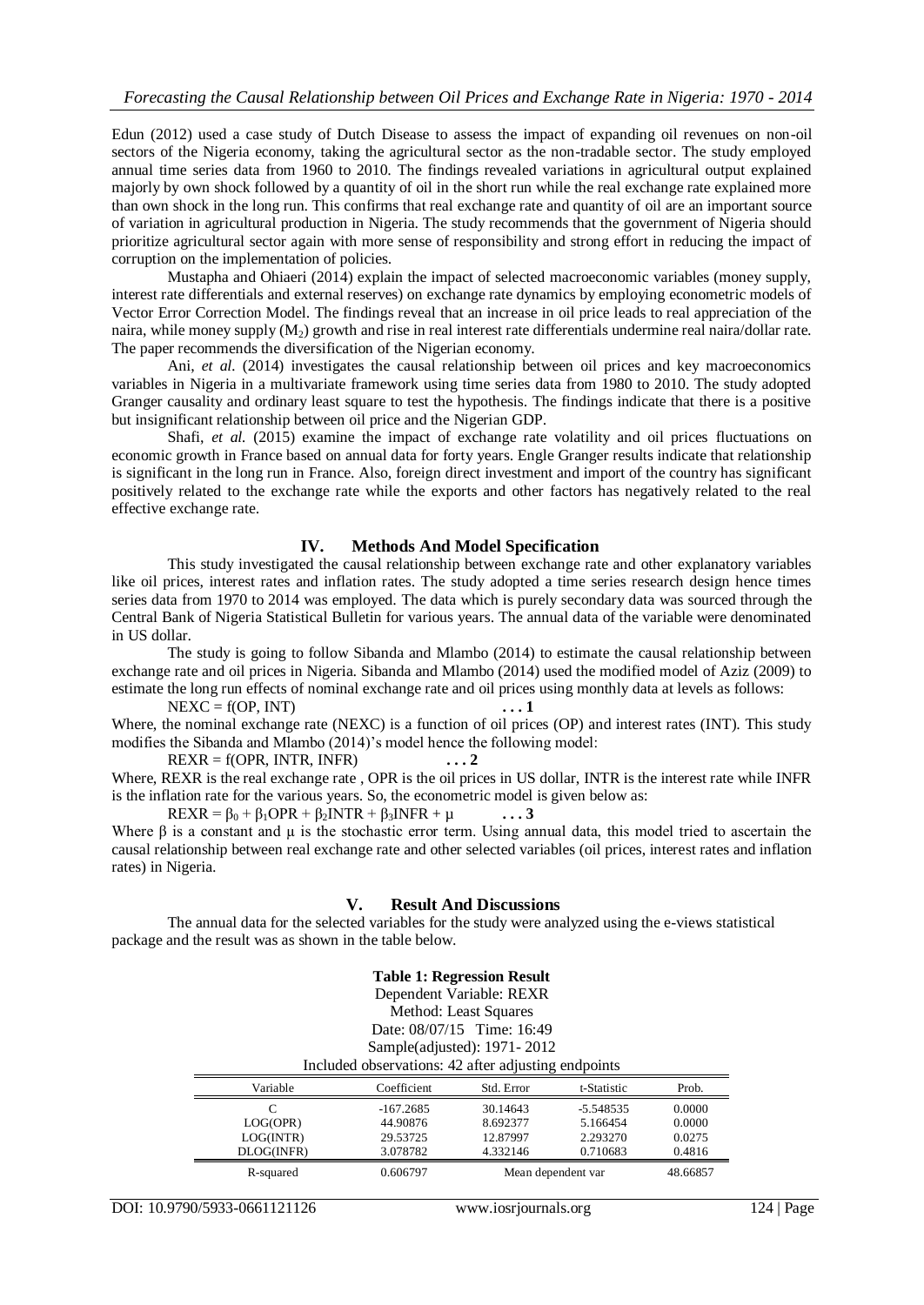Edun (2012) used a case study of Dutch Disease to assess the impact of expanding oil revenues on non-oil sectors of the Nigeria economy, taking the agricultural sector as the non-tradable sector. The study employed annual time series data from 1960 to 2010. The findings revealed variations in agricultural output explained majorly by own shock followed by a quantity of oil in the short run while the real exchange rate explained more than own shock in the long run. This confirms that real exchange rate and quantity of oil are an important source of variation in agricultural production in Nigeria. The study recommends that the government of Nigeria should prioritize agricultural sector again with more sense of responsibility and strong effort in reducing the impact of corruption on the implementation of policies.

Mustapha and Ohiaeri (2014) explain the impact of selected macroeconomic variables (money supply, interest rate differentials and external reserves) on exchange rate dynamics by employing econometric models of Vector Error Correction Model. The findings reveal that an increase in oil price leads to real appreciation of the naira, while money supply  $(M_2)$  growth and rise in real interest rate differentials undermine real naira/dollar rate. The paper recommends the diversification of the Nigerian economy.

Ani, *et al.* (2014) investigates the causal relationship between oil prices and key macroeconomics variables in Nigeria in a multivariate framework using time series data from 1980 to 2010. The study adopted Granger causality and ordinary least square to test the hypothesis. The findings indicate that there is a positive but insignificant relationship between oil price and the Nigerian GDP.

Shafi, *et al.* (2015) examine the impact of exchange rate volatility and oil prices fluctuations on economic growth in France based on annual data for forty years. Engle Granger results indicate that relationship is significant in the long run in France. Also, foreign direct investment and import of the country has significant positively related to the exchange rate while the exports and other factors has negatively related to the real effective exchange rate.

### **IV. Methods And Model Specification**

This study investigated the causal relationship between exchange rate and other explanatory variables like oil prices, interest rates and inflation rates. The study adopted a time series research design hence times series data from 1970 to 2014 was employed. The data which is purely secondary data was sourced through the Central Bank of Nigeria Statistical Bulletin for various years. The annual data of the variable were denominated in US dollar.

The study is going to follow Sibanda and Mlambo (2014) to estimate the causal relationship between exchange rate and oil prices in Nigeria. Sibanda and Mlambo (2014) used the modified model of Aziz (2009) to estimate the long run effects of nominal exchange rate and oil prices using monthly data at levels as follows:

 $NEXC = f(OP, INT)$  ... 1 Where, the nominal exchange rate (NEXC) is a function of oil prices (OP) and interest rates (INT). This study modifies the Sibanda and Mlambo (2014)'s model hence the following model:

 $REXR = f(OPR, INTR, INFR)$   $\ldots$  2 Where, REXR is the real exchange rate , OPR is the oil prices in US dollar, INTR is the interest rate while INFR is the inflation rate for the various years. So, the econometric model is given below as:

 $REXR = \beta_0 + \beta_1OPR + \beta_2INTR + \beta_3INFR + \mu$  ... 3 Where  $\beta$  is a constant and  $\mu$  is the stochastic error term. Using annual data, this model tried to ascertain the causal relationship between real exchange rate and other selected variables (oil prices, interest rates and inflation rates) in Nigeria.

#### **V. Result And Discussions**

The annual data for the selected variables for the study were analyzed using the e-views statistical package and the result was as shown in the table below.

| <b>Table 1: Regression Result</b>                   |             |            |             |        |  |  |
|-----------------------------------------------------|-------------|------------|-------------|--------|--|--|
| Dependent Variable: REXR                            |             |            |             |        |  |  |
| Method: Least Squares                               |             |            |             |        |  |  |
| Date: 08/07/15 Time: 16:49                          |             |            |             |        |  |  |
| Sample(adjusted): 1971-2012                         |             |            |             |        |  |  |
| Included observations: 42 after adjusting endpoints |             |            |             |        |  |  |
| Variable                                            | Coefficient | Std. Error | t-Statistic |        |  |  |
|                                                     |             |            |             | Prob.  |  |  |
| $\mathcal{C}$                                       | $-167.2685$ | 30.14643   | -5.548535   | 0.0000 |  |  |
| LOG(OPR)                                            | 44.90876    | 8.692377   | 5.166454    | 0.0000 |  |  |
| LOG(INTER)                                          | 29.53725    | 12.87997   | 2.293270    | 0.0275 |  |  |
| DLOG(INFR)                                          | 3.078782    | 4.332146   | 0.710683    | 0.4816 |  |  |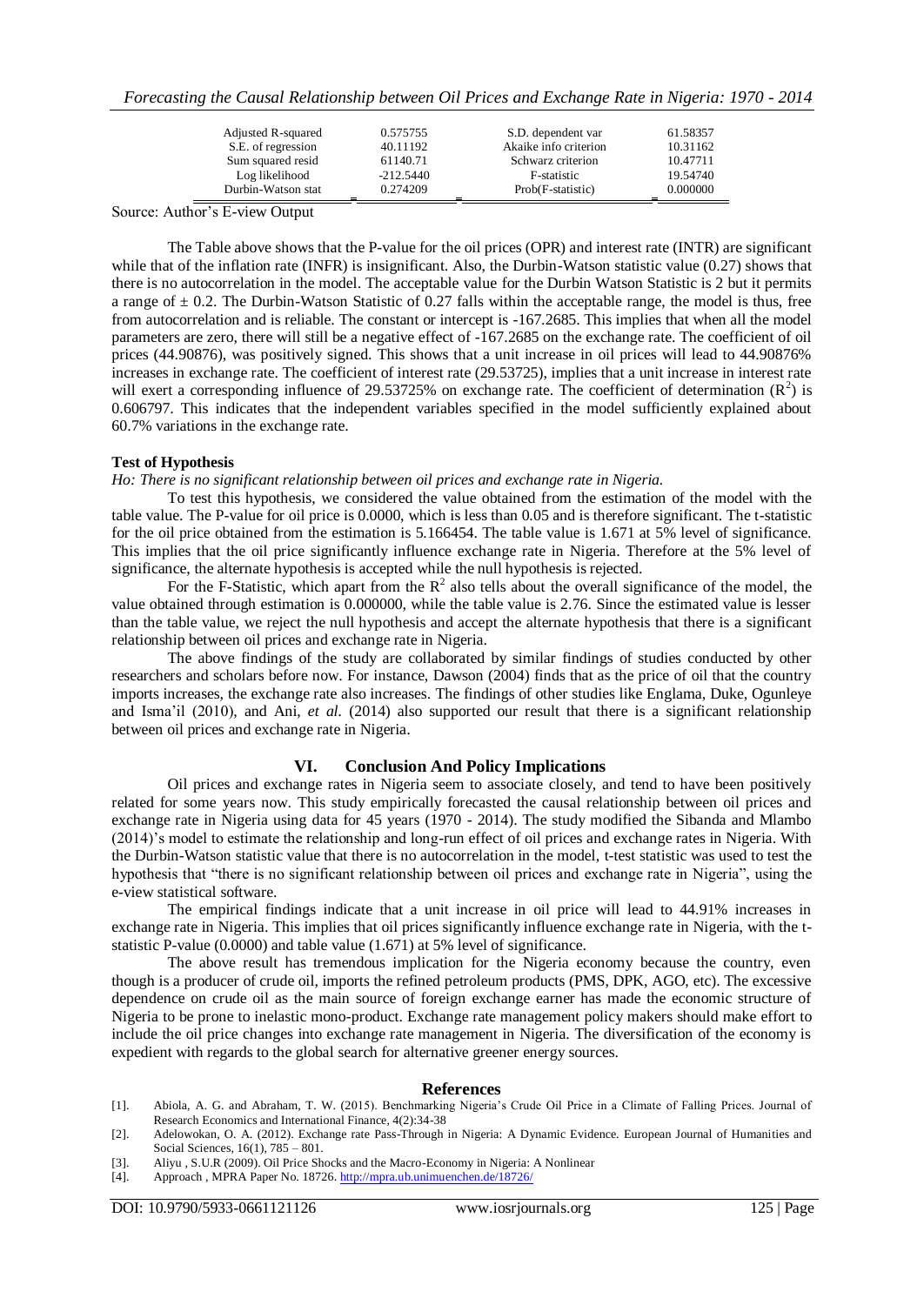*Forecasting the Causal Relationship between Oil Prices and Exchange Rate in Nigeria: 1970 - 2014*

| Adjusted R-squared<br>S.E. of regression | 0.575755<br>40.11192 | S.D. dependent var<br>Akaike info criterion | 61.58357<br>10.31162 |
|------------------------------------------|----------------------|---------------------------------------------|----------------------|
| Sum squared resid                        | 61140.71             | Schwarz criterion                           | 10.47711             |
| Log likelihood                           | $-212.5440$          | F-statistic                                 | 19.54740             |
| Durbin-Watson stat                       | 0.274209             | Prob(F-statistic)                           | 0.000000             |

Source: Author's E-view Output

The Table above shows that the P-value for the oil prices (OPR) and interest rate (INTR) are significant while that of the inflation rate (INFR) is insignificant. Also, the Durbin-Watson statistic value (0.27) shows that there is no autocorrelation in the model. The acceptable value for the Durbin Watson Statistic is 2 but it permits a range of  $\pm$  0.2. The Durbin-Watson Statistic of 0.27 falls within the acceptable range, the model is thus, free from autocorrelation and is reliable. The constant or intercept is -167.2685. This implies that when all the model parameters are zero, there will still be a negative effect of -167.2685 on the exchange rate. The coefficient of oil prices (44.90876), was positively signed. This shows that a unit increase in oil prices will lead to 44.90876% increases in exchange rate. The coefficient of interest rate (29.53725), implies that a unit increase in interest rate will exert a corresponding influence of 29.53725% on exchange rate. The coefficient of determination  $(R^2)$  is 0.606797. This indicates that the independent variables specified in the model sufficiently explained about 60.7% variations in the exchange rate.

#### **Test of Hypothesis**

#### *Ho: There is no significant relationship between oil prices and exchange rate in Nigeria.*

To test this hypothesis, we considered the value obtained from the estimation of the model with the table value. The P-value for oil price is 0.0000, which is less than 0.05 and is therefore significant. The t-statistic for the oil price obtained from the estimation is 5.166454. The table value is 1.671 at 5% level of significance. This implies that the oil price significantly influence exchange rate in Nigeria. Therefore at the 5% level of significance, the alternate hypothesis is accepted while the null hypothesis is rejected.

For the F-Statistic, which apart from the  $R^2$  also tells about the overall significance of the model, the value obtained through estimation is 0.000000, while the table value is 2.76. Since the estimated value is lesser than the table value, we reject the null hypothesis and accept the alternate hypothesis that there is a significant relationship between oil prices and exchange rate in Nigeria.

The above findings of the study are collaborated by similar findings of studies conducted by other researchers and scholars before now. For instance, Dawson (2004) finds that as the price of oil that the country imports increases, the exchange rate also increases. The findings of other studies like Englama, Duke, Ogunleye and Isma'il (2010), and Ani, *et al.* (2014) also supported our result that there is a significant relationship between oil prices and exchange rate in Nigeria.

## **VI. Conclusion And Policy Implications**

Oil prices and exchange rates in Nigeria seem to associate closely, and tend to have been positively related for some years now. This study empirically forecasted the causal relationship between oil prices and exchange rate in Nigeria using data for 45 years (1970 - 2014). The study modified the Sibanda and Mlambo (2014)'s model to estimate the relationship and long-run effect of oil prices and exchange rates in Nigeria. With the Durbin-Watson statistic value that there is no autocorrelation in the model, t-test statistic was used to test the hypothesis that "there is no significant relationship between oil prices and exchange rate in Nigeria", using the e-view statistical software.

The empirical findings indicate that a unit increase in oil price will lead to 44.91% increases in exchange rate in Nigeria. This implies that oil prices significantly influence exchange rate in Nigeria, with the tstatistic P-value (0.0000) and table value (1.671) at 5% level of significance.

The above result has tremendous implication for the Nigeria economy because the country, even though is a producer of crude oil, imports the refined petroleum products (PMS, DPK, AGO, etc). The excessive dependence on crude oil as the main source of foreign exchange earner has made the economic structure of Nigeria to be prone to inelastic mono-product. Exchange rate management policy makers should make effort to include the oil price changes into exchange rate management in Nigeria. The diversification of the economy is expedient with regards to the global search for alternative greener energy sources.

#### **References**

[1]. Abiola, A. G. and Abraham, T. W. (2015). Benchmarking Nigeria's Crude Oil Price in a Climate of Falling Prices. Journal of Research Economics and International Finance, 4(2):34-38

- [3]. Aliyu , S.U.R (2009). Oil Price Shocks and the Macro-Economy in Nigeria: A Nonlinear
- [4]. Approach , MPRA Paper No. 18726[. http://mpra.ub.unimuenchen.de/18726/](http://mpra.ub.unimuenchen.de/18726/)

<sup>[2].</sup> Adelowokan, O. A. (2012). Exchange rate Pass-Through in Nigeria: A Dynamic Evidence. European Journal of Humanities and Social Sciences, 16(1), 785 – 801.